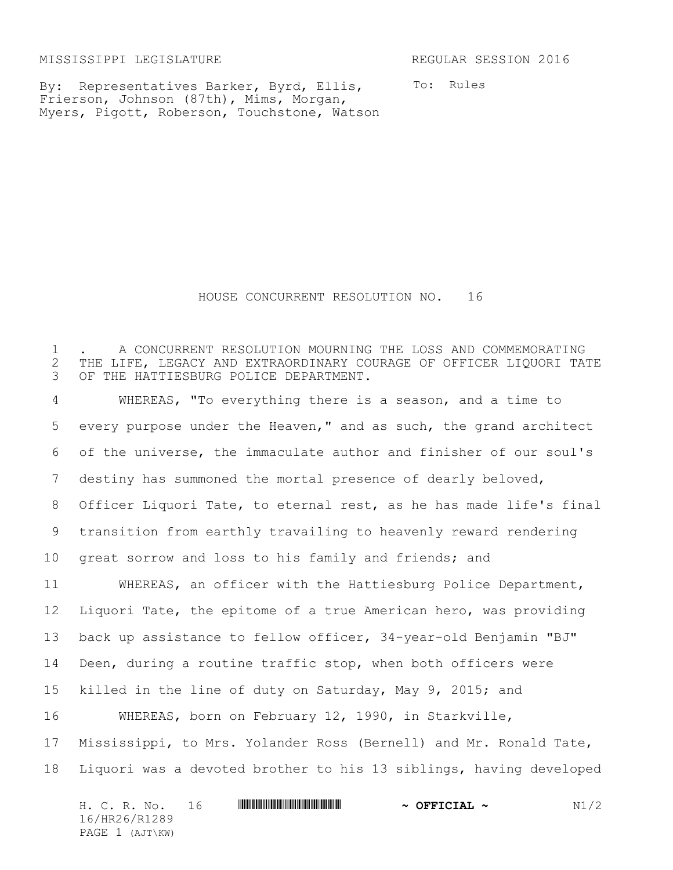MISSISSIPPI LEGISLATURE REGULAR SESSION 2016

By: Representatives Barker, Byrd, Ellis, Frierson, Johnson (87th), Mims, Morgan, Myers, Pigott, Roberson, Touchstone, Watson To: Rules

HOUSE CONCURRENT RESOLUTION NO. 16

1 . A CONCURRENT RESOLUTION MOURNING THE LOSS AND COMMEMORATING 2 THE LIFE, LEGACY AND EXTRAORDINARY COURAGE OF OFFICER LIQUORI TATE<br>3 OF THE HATTIESBURG POLICE DEPARTMENT. OF THE HATTIESBURG POLICE DEPARTMENT.

 WHEREAS, "To everything there is a season, and a time to every purpose under the Heaven," and as such, the grand architect of the universe, the immaculate author and finisher of our soul's destiny has summoned the mortal presence of dearly beloved, Officer Liquori Tate, to eternal rest, as he has made life's final transition from earthly travailing to heavenly reward rendering great sorrow and loss to his family and friends; and

 WHEREAS, an officer with the Hattiesburg Police Department, Liquori Tate, the epitome of a true American hero, was providing back up assistance to fellow officer, 34-year-old Benjamin "BJ" Deen, during a routine traffic stop, when both officers were killed in the line of duty on Saturday, May 9, 2015; and

16 WHEREAS, born on February 12, 1990, in Starkville, 17 Mississippi, to Mrs. Yolander Ross (Bernell) and Mr. Ronald Tate, 18 Liquori was a devoted brother to his 13 siblings, having developed

| H. C. R. No.    |  | $\sim$ OFFICIAL $\sim$ | N1/2 |
|-----------------|--|------------------------|------|
| 16/HR26/R1289   |  |                        |      |
| PAGE 1 (AJT\KW) |  |                        |      |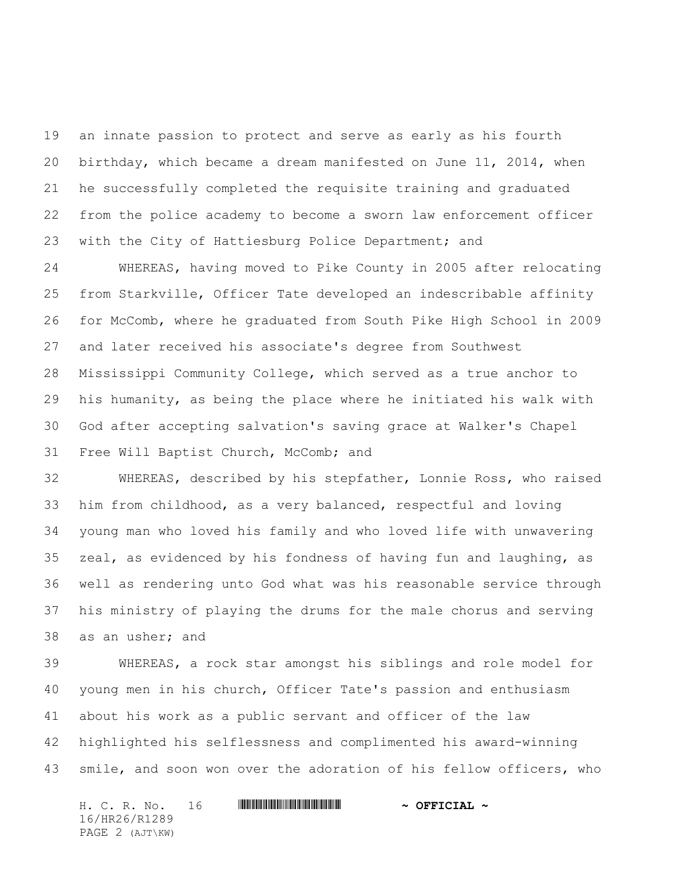an innate passion to protect and serve as early as his fourth birthday, which became a dream manifested on June 11, 2014, when he successfully completed the requisite training and graduated from the police academy to become a sworn law enforcement officer with the City of Hattiesburg Police Department; and

 WHEREAS, having moved to Pike County in 2005 after relocating from Starkville, Officer Tate developed an indescribable affinity for McComb, where he graduated from South Pike High School in 2009 and later received his associate's degree from Southwest Mississippi Community College, which served as a true anchor to his humanity, as being the place where he initiated his walk with God after accepting salvation's saving grace at Walker's Chapel Free Will Baptist Church, McComb; and

 WHEREAS, described by his stepfather, Lonnie Ross, who raised him from childhood, as a very balanced, respectful and loving young man who loved his family and who loved life with unwavering zeal, as evidenced by his fondness of having fun and laughing, as well as rendering unto God what was his reasonable service through his ministry of playing the drums for the male chorus and serving as an usher; and

 WHEREAS, a rock star amongst his siblings and role model for young men in his church, Officer Tate's passion and enthusiasm about his work as a public servant and officer of the law highlighted his selflessness and complimented his award-winning smile, and soon won over the adoration of his fellow officers, who

H. C. R. No. 16 \*HR26/R1289\* **~ OFFICIAL ~** 16/HR26/R1289 PAGE 2 (AJT\KW)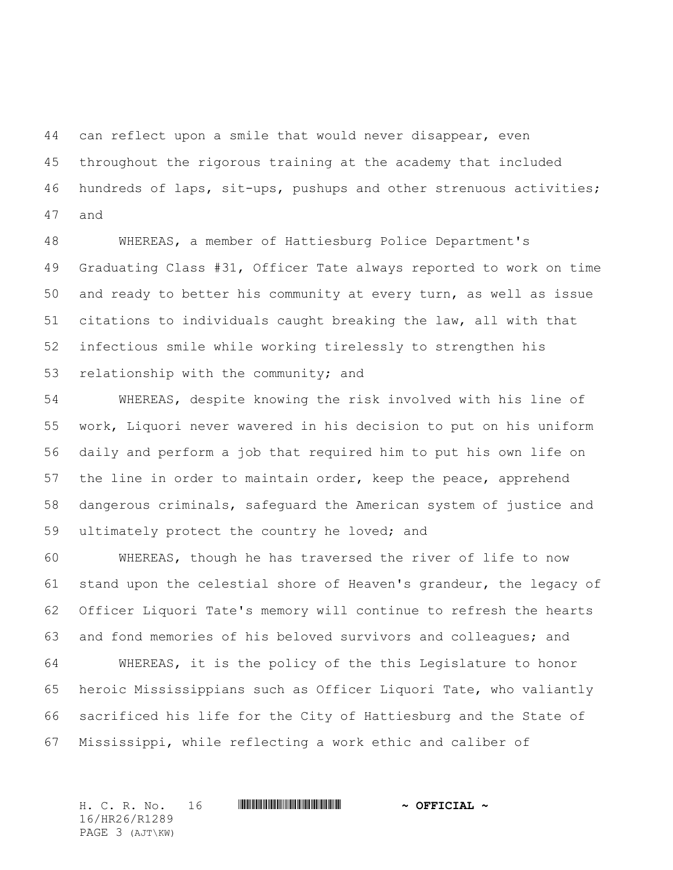can reflect upon a smile that would never disappear, even throughout the rigorous training at the academy that included hundreds of laps, sit-ups, pushups and other strenuous activities; and

 WHEREAS, a member of Hattiesburg Police Department's Graduating Class #31, Officer Tate always reported to work on time and ready to better his community at every turn, as well as issue citations to individuals caught breaking the law, all with that infectious smile while working tirelessly to strengthen his 53 relationship with the community; and

 WHEREAS, despite knowing the risk involved with his line of work, Liquori never wavered in his decision to put on his uniform daily and perform a job that required him to put his own life on the line in order to maintain order, keep the peace, apprehend dangerous criminals, safeguard the American system of justice and ultimately protect the country he loved; and

 WHEREAS, though he has traversed the river of life to now stand upon the celestial shore of Heaven's grandeur, the legacy of Officer Liquori Tate's memory will continue to refresh the hearts and fond memories of his beloved survivors and colleagues; and

 WHEREAS, it is the policy of the this Legislature to honor heroic Mississippians such as Officer Liquori Tate, who valiantly sacrificed his life for the City of Hattiesburg and the State of Mississippi, while reflecting a work ethic and caliber of

H. C. R. No. 16 \*HR26/R1289\* **~ OFFICIAL ~** 16/HR26/R1289 PAGE 3 (AJT\KW)